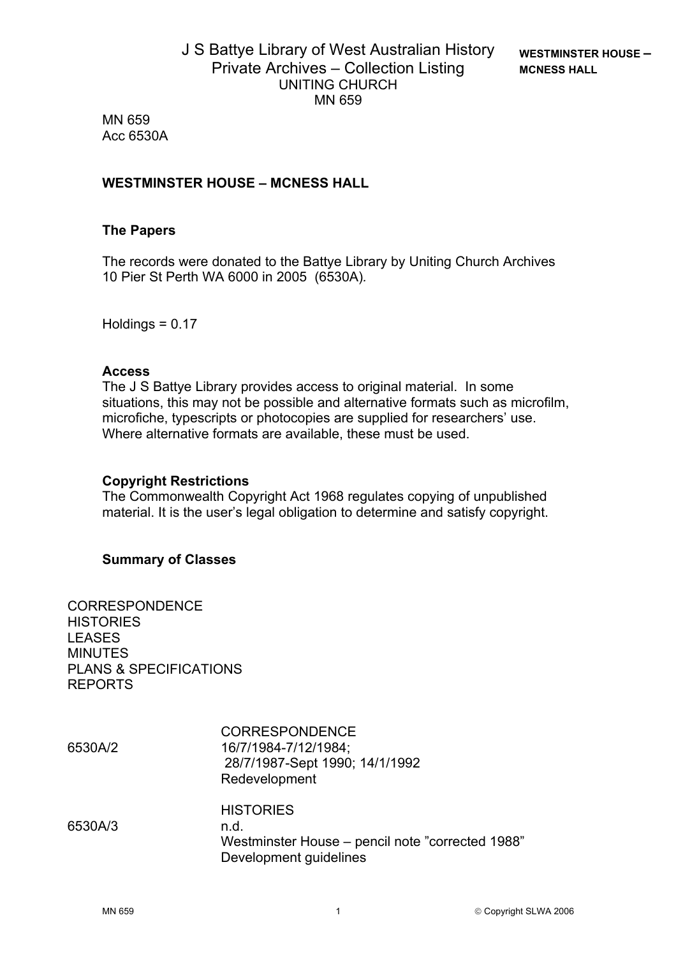MN 659 Acc 6530A

# **WESTMINSTER HOUSE – MCNESS HALL**

## **The Papers**

The records were donated to the Battye Library by Uniting Church Archives 10 Pier St Perth WA 6000 in 2005 (6530A)*.*

Holdings = 0.17

### **Access**

The J S Battye Library provides access to original material. In some situations, this may not be possible and alternative formats such as microfilm, microfiche, typescripts or photocopies are supplied for researchers' use. Where alternative formats are available, these must be used.

### **Copyright Restrictions**

The Commonwealth Copyright Act 1968 regulates copying of unpublished material. It is the user's legal obligation to determine and satisfy copyright.

### **Summary of Classes**

CORRESPONDENCE **HISTORIES** LEASES MINUTES PLANS & SPECIFICATIONS REPORTS

CORRESPONDENCE 6530A/2 16/7/1984-7/12/1984; 28/7/1987-Sept 1990; 14/1/1992 Redevelopment **HISTORIES** 6530A/3 n.d. Westminster House – pencil note "corrected 1988" Development guidelines